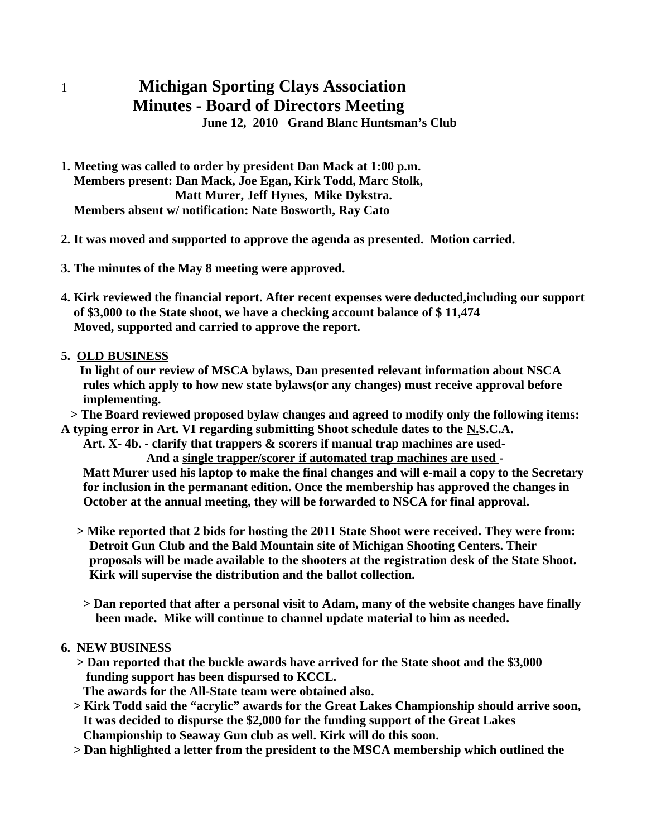## 1 **Michigan Sporting Clays Association Minutes - Board of Directors Meeting**

**June 12, 2010 Grand Blanc Huntsman's Club**

**1. Meeting was called to order by president Dan Mack at 1:00 p.m. Members present: Dan Mack, Joe Egan, Kirk Todd, Marc Stolk, Matt Murer, Jeff Hynes, Mike Dykstra. Members absent w/ notification: Nate Bosworth, Ray Cato**

**2. It was moved and supported to approve the agenda as presented. Motion carried.**

**3. The minutes of the May 8 meeting were approved.**

- **4. Kirk reviewed the financial report. After recent expenses were deducted,including our support of \$3,000 to the State shoot, we have a checking account balance of \$ 11,474 Moved, supported and carried to approve the report.**
- **5. OLD BUSINESS**

 **In light of our review of MSCA bylaws, Dan presented relevant information about NSCA rules which apply to how new state bylaws(or any changes) must receive approval before implementing.**

 **> The Board reviewed proposed bylaw changes and agreed to modify only the following items: A typing error in Art. VI regarding submitting Shoot schedule dates to the N.S.C.A.**

 **Art. X- 4b. - clarify that trappers & scorers if manual trap machines are used- And a single trapper/scorer if automated trap machines are used -**

 **Matt Murer used his laptop to make the final changes and will e-mail a copy to the Secretary for inclusion in the permanant edition. Once the membership has approved the changes in October at the annual meeting, they will be forwarded to NSCA for final approval.** 

- **> Mike reported that 2 bids for hosting the 2011 State Shoot were received. They were from: Detroit Gun Club and the Bald Mountain site of Michigan Shooting Centers. Their proposals will be made available to the shooters at the registration desk of the State Shoot. Kirk will supervise the distribution and the ballot collection.**
	- **> Dan reported that after a personal visit to Adam, many of the website changes have finally been made. Mike will continue to channel update material to him as needed.**

## **6. NEW BUSINESS**

 **> Dan reported that the buckle awards have arrived for the State shoot and the \$3,000 funding support has been dispursed to KCCL.** 

 **The awards for the All-State team were obtained also.**

- **> Kirk Todd said the "acrylic" awards for the Great Lakes Championship should arrive soon, It was decided to dispurse the \$2,000 for the funding support of the Great Lakes Championship to Seaway Gun club as well. Kirk will do this soon.**
- **> Dan highlighted a letter from the president to the MSCA membership which outlined the**